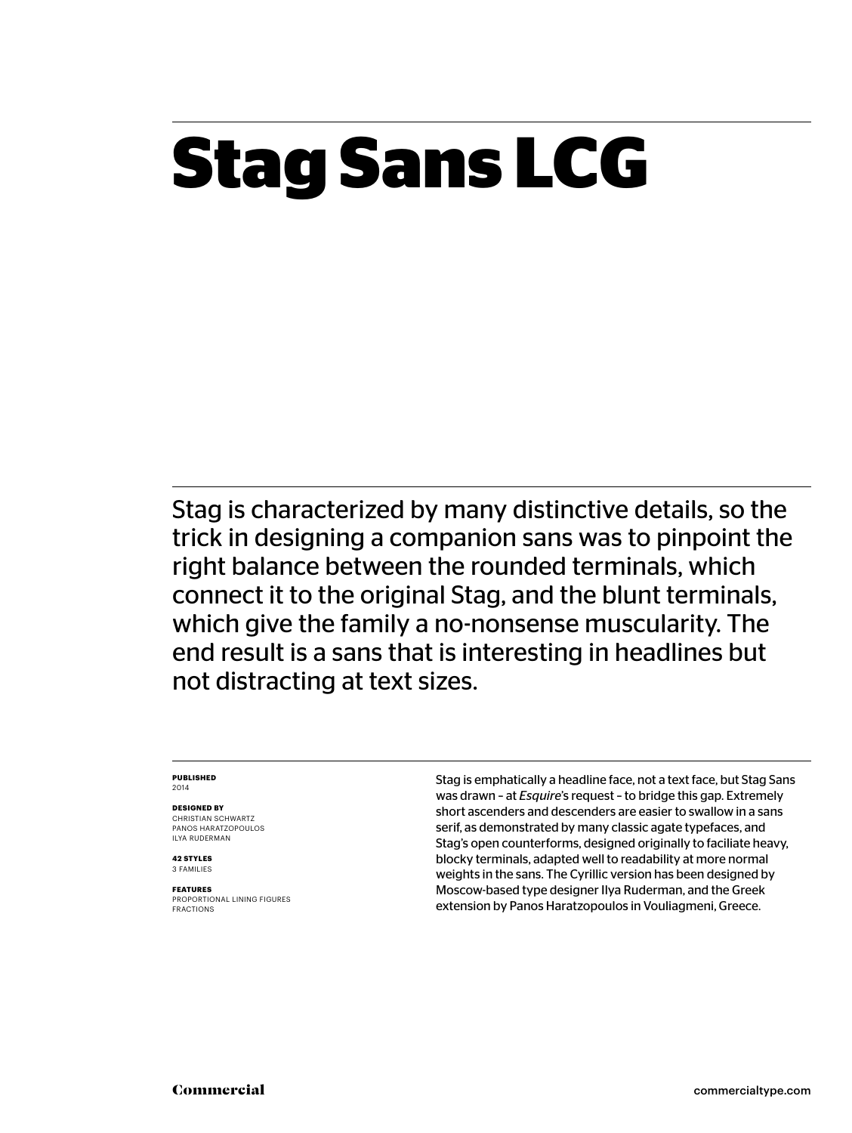# **Stag Sans LCG**

Stag is characterized by many distinctive details, so the trick in designing a companion sans was to pinpoint the right balance between the rounded terminals, which connect it to the original Stag, and the blunt terminals, which give the family a no-nonsense muscularity. The end result is a sans that is interesting in headlines but not distracting at text sizes.

#### **Published** 2014

**Designed by**

CHRISTIAN SCHWARTZ Panos Haratzopoulos Ilya Ruderman

**42 styles** 3 families

**Features** PROPORTIONAL LINING FIGURES FRACTIONS

Stag is emphatically a headline face, not a text face, but Stag Sans was drawn – at *Esquire*'s request – to bridge this gap. Extremely short ascenders and descenders are easier to swallow in a sans serif, as demonstrated by many classic agate typefaces, and Stag's open counterforms, designed originally to faciliate heavy, blocky terminals, adapted well to readability at more normal weights in the sans. The Cyrillic version has been designed by Moscow-based type designer Ilya Ruderman, and the Greek extension by Panos Haratzopoulos in Vouliagmeni, Greece.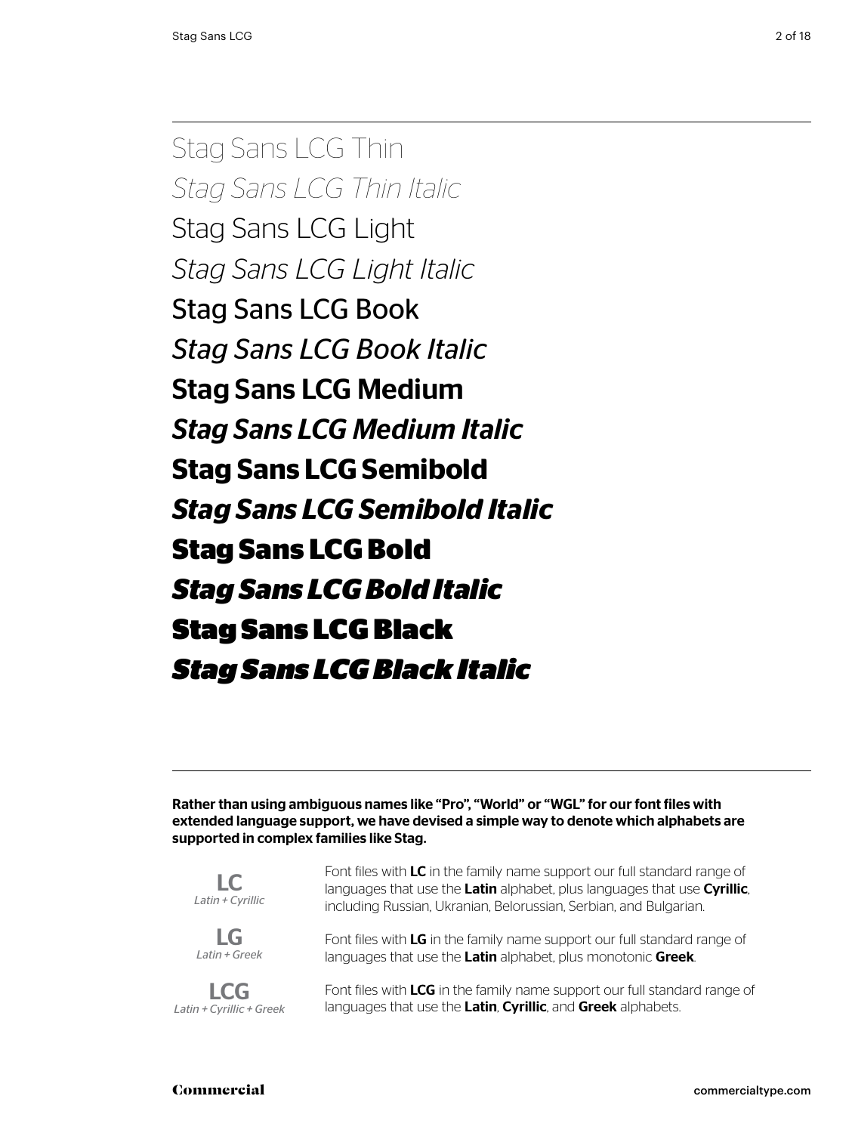Stag Sans LCG Thin *Stag Sans LCG Thin Italic* Stag Sans LCG Light *Stag Sans LCG Light Italic* Stag Sans LCG Book *Stag Sans LCG Book Italic* Stag Sans LCG Medium *Stag Sans LCG Medium Italic* **Stag Sans LCG Semibold** *Stag Sans LCG Semibold Italic* **Stag Sans LCG Bold** *Stag Sans LCG Bold Italic* Stag Sans LCG Black *Stag Sans LCG Black Italic*

Rather than using ambiguous names like "Pro", "World" or "WGL" for our font files with extended language support, we have devised a simple way to denote which alphabets are supported in complex families like Stag.

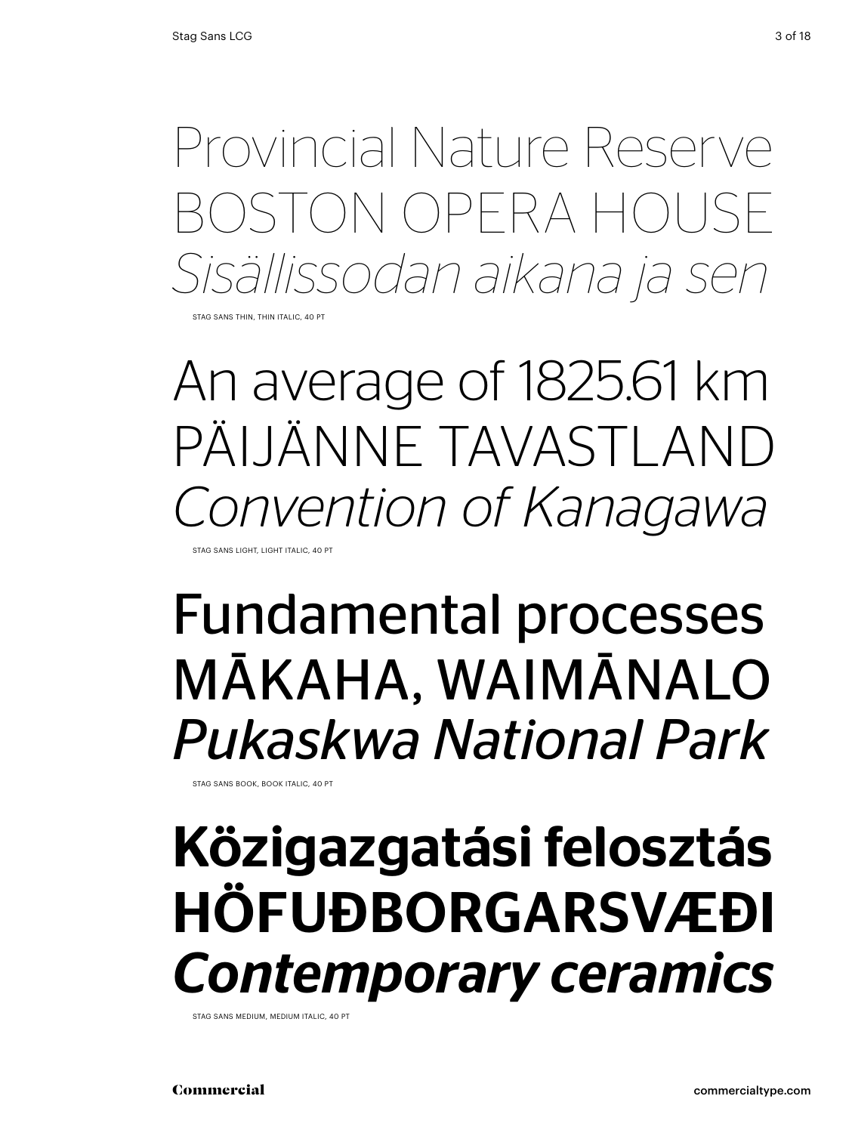BOSTON OPERA HOU *Sisällissodan aikana ja sen*

STAG SANS THIN, THIN ITALIC, 40 PT

An average of 1825.61 km PÄIJÄNNE TAVASTLAND *Convention of Kanagawa*

STAG SANS LIGHT, LIGHT ITALIC, 40 PT

## Fundamental processes MĀKAHA, WAIMĀNALO *Pukaskwa National Park*

STAG SANS BOOK, BOOK ITALIC, 40 PT

# Frovincial Nature Reserve<br>BOSTON OPERA HOUSE<br>Sisällissodan aikana ja sen<br>An average of 1825.61 km<br>PÄIJÄNNE TAVASTLAND<br>Convention of Kanagawa<br>**Fundamental processes**<br>MĀKAHA, WAIMĀNALO<br>Pukaskwa National Park<br>Közigazgatási fe Közigazgatási felosztás HÖFUÐBORGARSVÆÐI *Contemporary ceramics*

STAG SANS MEDIUM, MEDIUM ITALIC, 40 PT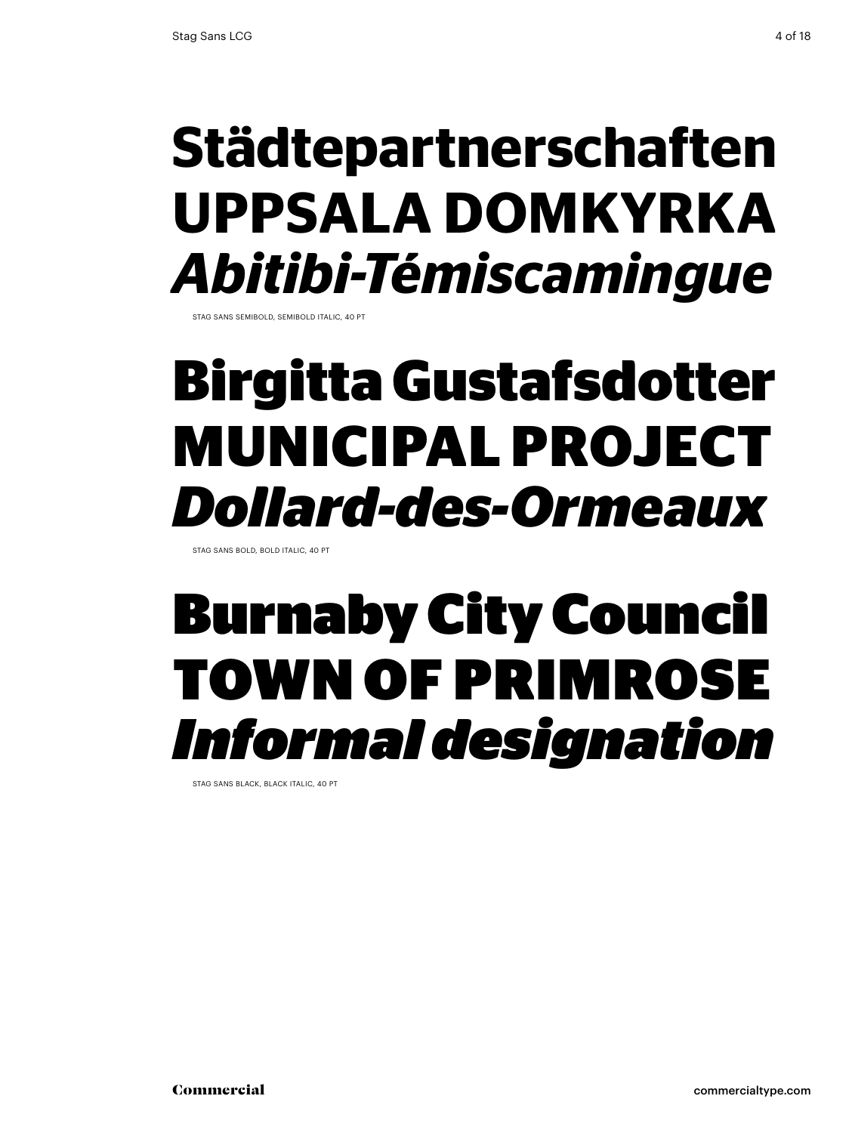# **UPPSALA DOMKYRKA** *Abitibi-Témiscamingue*

STAG SANS SEMIBOLD, SEMIBOLD ITALIC, 40 PT

## **Birgitta Gustafsdotter MUNICIPAL PROJECT**  *Dollard-des-Ormeaux*

STAG SANS BOLD, BOLD ITALIC, 40 PT

# Städtepartnerschaften<br>UPPSALA DOMKYRKA<br>*Abitibi-Témiscamingue*<br>Birgitta Gustafsdotter<br>MUNICIPAL PROJECT<br>*Dollard-des-Ormeaux*<br>Burnaby City Council<br>TOWN OF PRIMROSE<br>*Informal designation* Burnaby City Council TOWN OF PRIMROSE *Informal designation*

STAG SANS BLACK, BLACK ITALIC, 40 PT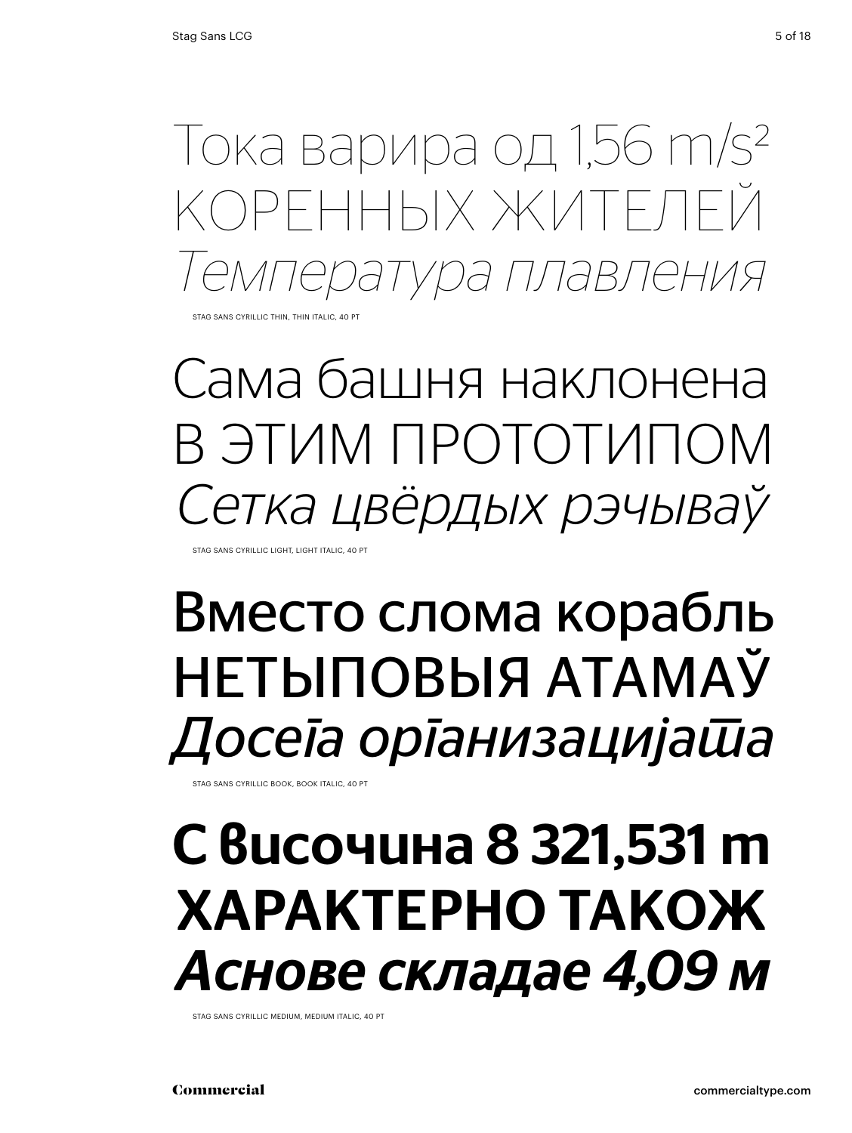Тока варира од 1,56 m/s2 коренных жителей *Температура плавления*

STAG SANS CYRILLIC THIN, THIN ITALIC, 40 PT

Сама башня наклонена В ЭТИМ ПРОТОТИІ *Сетка цвёрдых рэчываў*

Stag Sans Cyrillic light, light italic, 40 Pt

## Вместо слома корабль Нетыповыя атамаў *Досега организацијата*

Stag Sans Cyrillic book, book italic, 40 Pt

## с височина 8 321,531 m Характерно також *Аснове складае 4,09 м*

Stag Sans Cyrillic medium, medium italic, 40 Pt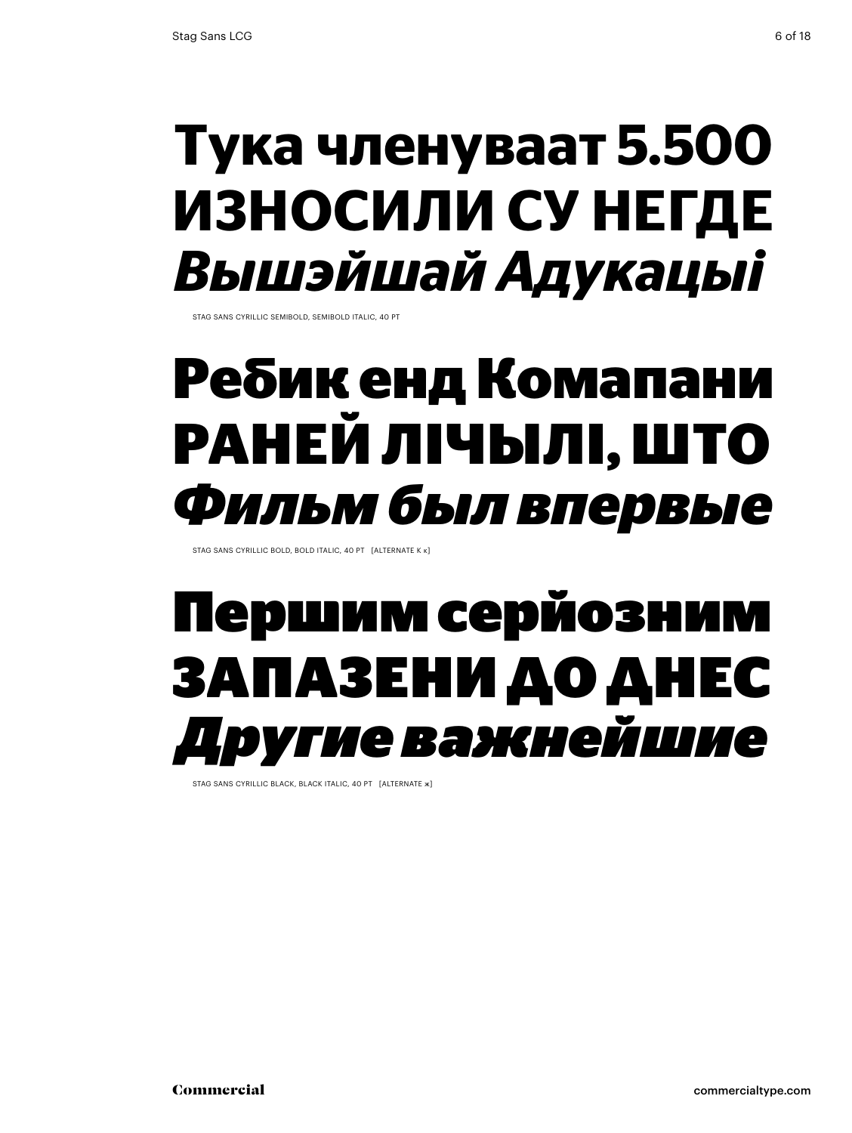#### **Тука членуваат 5.500 Износили су негде** *Вышэйшай Адукацыі*

Stag Sans Cyrillic semibold, semibold italic, 40 Pt

### **Ребик енд Комапани Раней лічылі, што** *Фильм был впервые*

Stag Sans Cyrillic bold, bold italic, 40 Pt [alternate К к]

## Першим серйозним ЗаПазени до днес *Другие важнейшие*

STAG SANS CYRILLIC BLACK, BLACK ITALIC, 40 PT [ALTERNATE ж]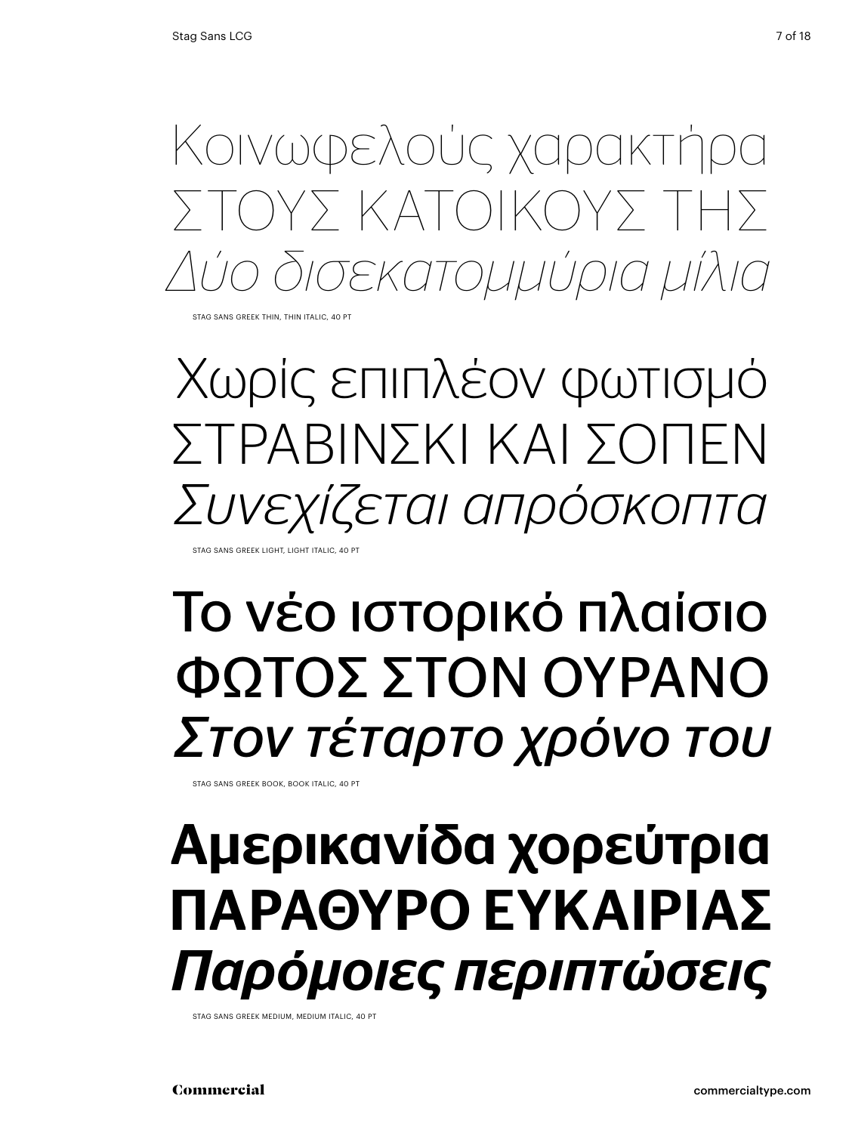Κοινωφελούς χαρακτήρα Στους κατοίκους της *Δύο δισεκατομμύρια μίλια*

Stag Sans Greek thin, thin italic, 40 Pt

Χωρίς επιπλέον φωτισμό ΣΤΡΑΒΙΝΣΚΙ ΚΑΙ ΣΟΠΕΝ *Συνεχίζεται απρόσκοπτα*

Stag Sans Greek light, light italic, 40 Pt

## Το νέο ιστορικό πλαίσιο φΩΤΟΣ ΣΤΟΝ ΟΥΡΑΝΟ *Στον τέταρτο χρόνο του*

Stag Sans Greek book, book italic, 40 Pt

## Αμερικανίδα χορεύτρια ΠΑΡΑΘΥΡΟ ΕΥΚΑΙΡΙΑΣ *Παρόμοιες περιπτώσεις*

Stag Sans Greek medium, medium italic, 40 Pt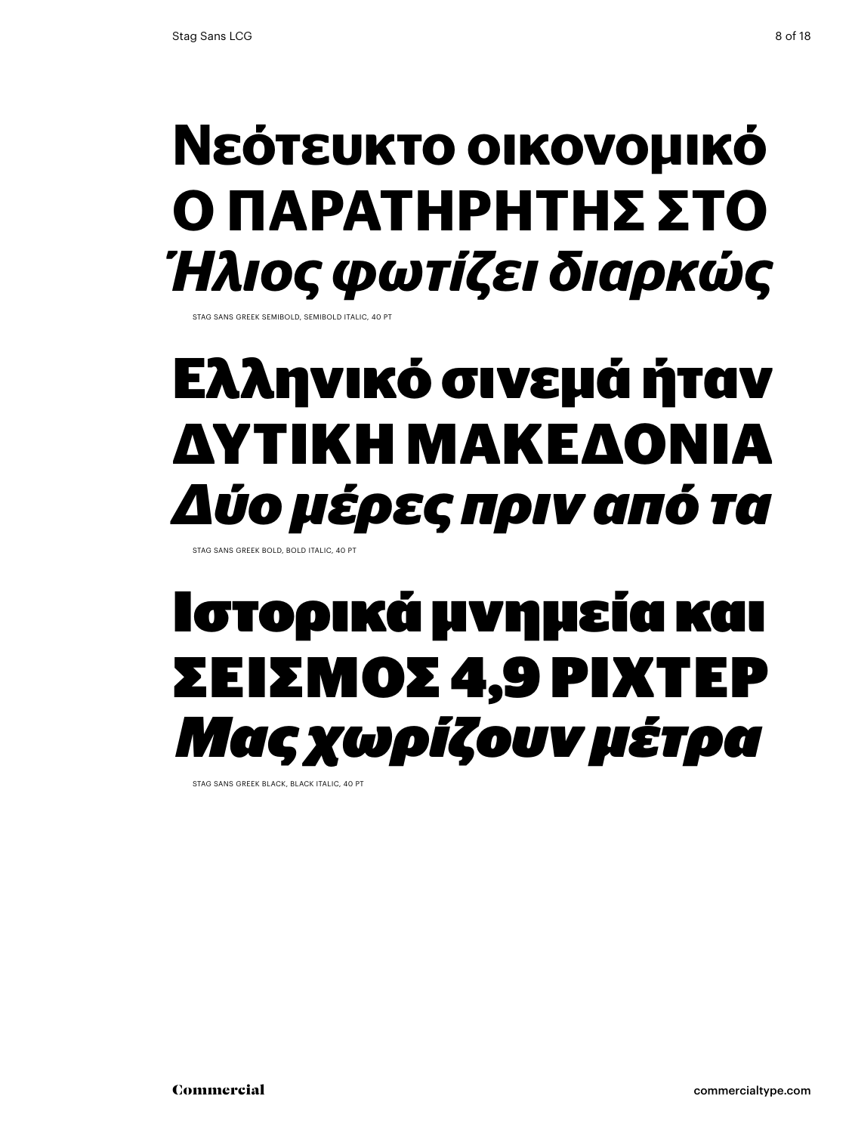## **Νεότευκτο οικονομικό ο παρατηρητης ςτο** *Ήλιος φωτίζει διαρκώς*

STAG SANS GREEK SEMIBOLD, SEMIBOLD ITALIC, 40 PT

## **Ελληνικό σινεμά ήταν Δυτική Μακεδονία** *Δύο μέρες πριν από τα*

Stag Sans Greek bold, bold italic, 40 Pt

# Ιστορικά μνημεία και ΣΕΙΣΜΟΣ 4,9 ΡΙΧΤΕΙ *Μας χωρίζουν μέτρα*

STAG SANS GREEK BLACK, BLACK ITALIC, 40 PT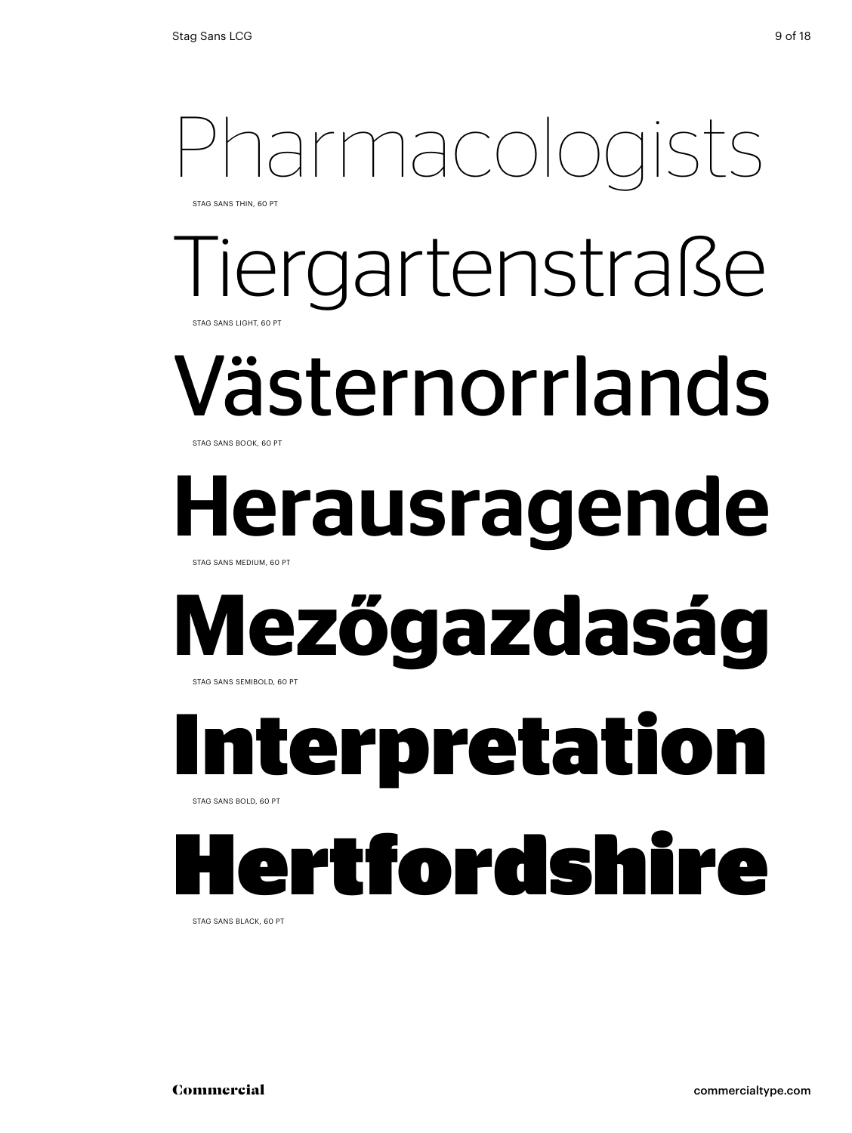#### Pharmacologists Tiergartenstraße Västernorrlands Herausragende **Mezőgazdaság Interpretation**  Hertfordshire STAG SANS THIN, 60 PT Stag Sans light, 60 Pt Stag Sans book, 60 Pt Stag Sans medium, 60 Pt STAG SANS SEMIBOLD, 60 PT STAG SANS BOLD, 60 PT

Stag Sans black, 60 Pt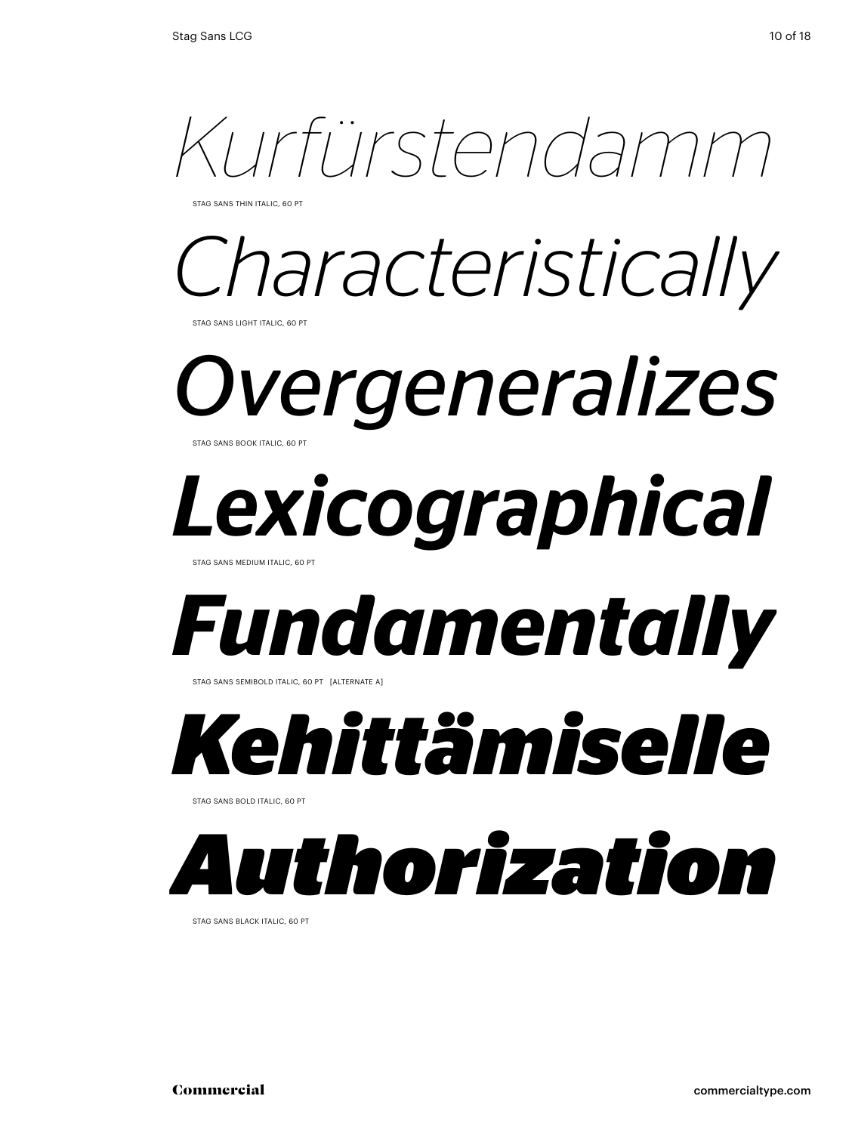

STAG SANS THIN ITALIC, 60 P

# *Characteristically*

STAG SANS LIGHT ITALIC, 60 PT

*Overgeneralizes*  Stag Sans book italic, 60 Pt

# *Lexicographical*

STAG SANS MEDIUM ITALIC, 60 PT

# *Fundamentally*

STAG SANS SEMIBOLD ITALIC, 60 PT [ALTERNATE A]

# *Kehittämiselle*

Stag Sans bold italic, 60 Pt

# *Authorization*

Stag Sans black italic, 60 Pt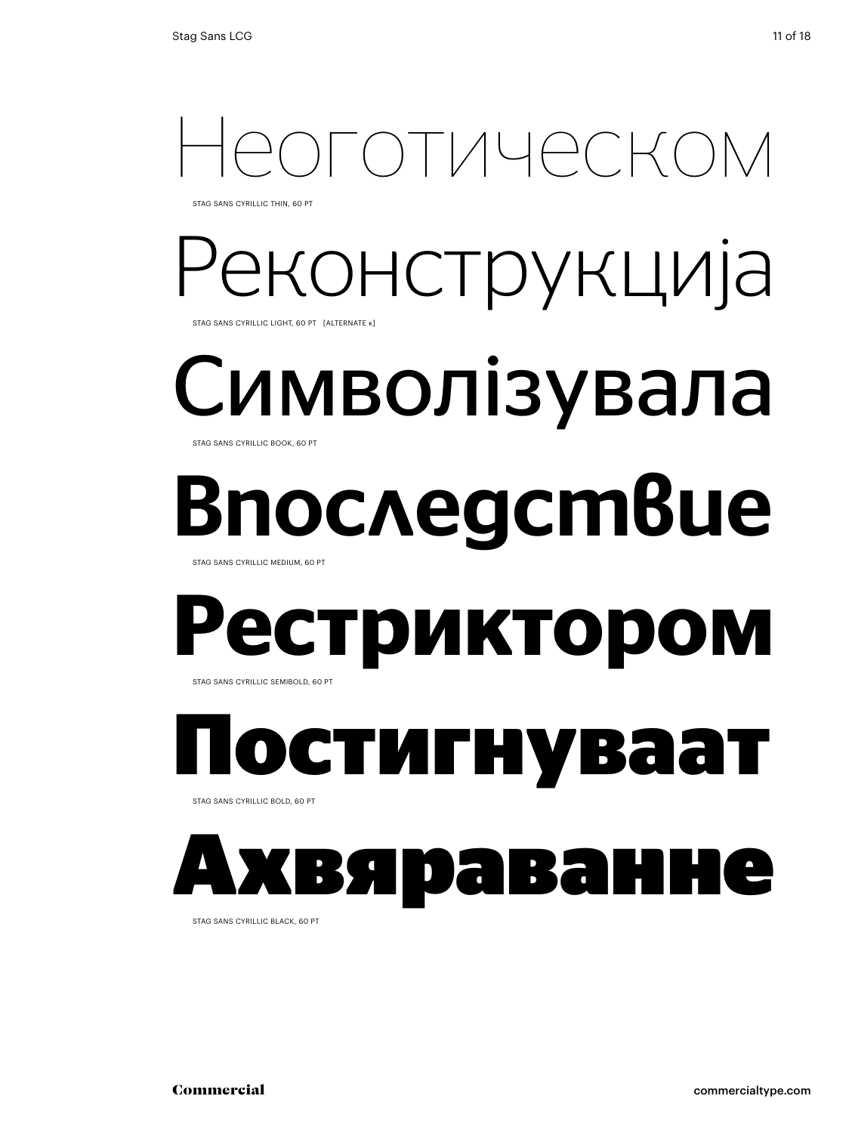# ОТИЧАСКС

Stag Sans Cyrillic thin, 60 Pt

#### Реконструкција Stag Sans Cyrillic light, 60 Pt [alternate к]

#### Символізувала STAG SANS CYRILLIC BOOK, 60 PT

# последствие

STAG SANS CYRILLIC MEDIUM, 60 PT

#### **Рестриктором**  STAG SANS CYRILLIC SEMIBOLD, 60 PT

**Постигнуваат** 

Stag Sans Cyrillic bold, 60 Pt



Stag Sans Cyrillic black, 60 Pt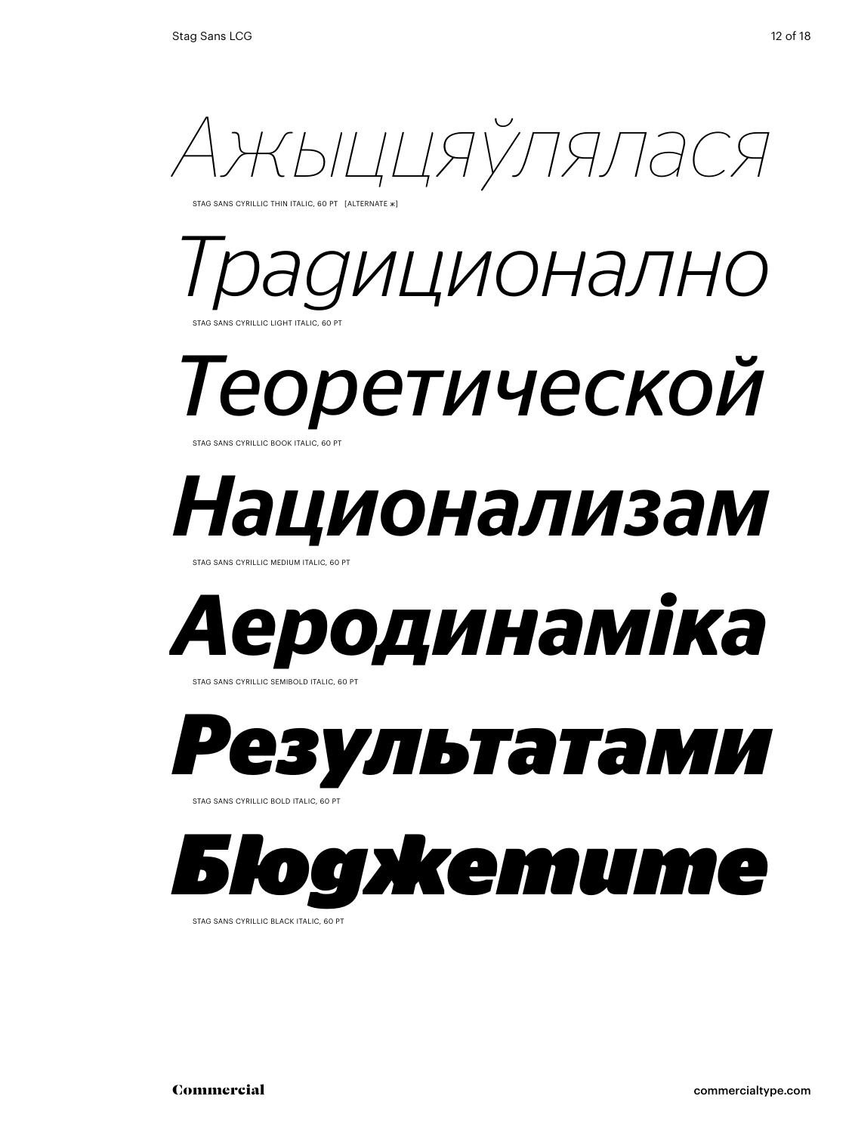

STAG SANS CYRILLIC THIN ITALIC, 60 PT [ALTERNATE ж]

#### *Традиционално* ANS CYRILLIC LIGHT ITALIC, 60 PT

*Теоретической*  Stag Sans Cyrillic book italic, 60 Pt

# *Национализам*

STAG SANS CYRILLIC MEDIUM ITALIC, 60 P



STAG SANS CYRILLIC SEMIBOLD ITALIC, 60 PT

*Результатами* 

STAG SANS CYRILLIC BOLD ITALIC, 60 PT

*Бюджетите*

STAG SANS CYRILLIC BLACK ITALIC, 60 PT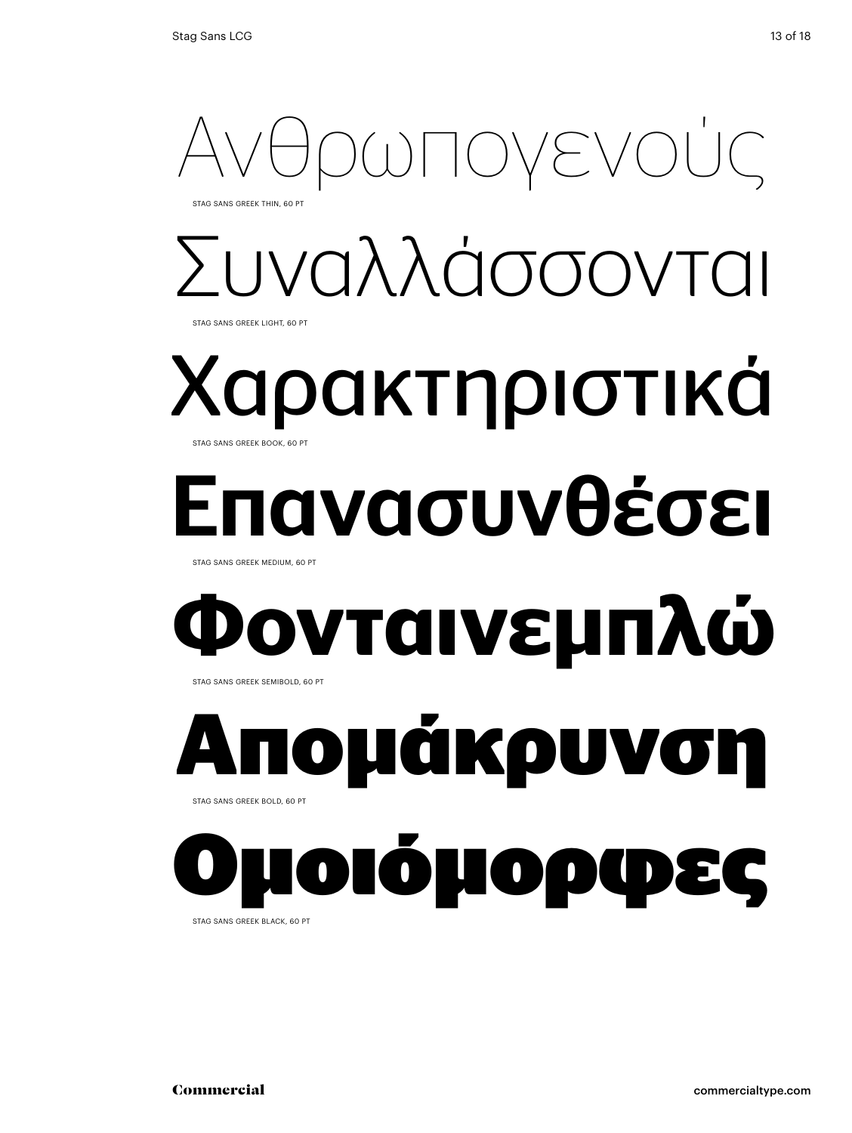

# Συναλλάσσονται

Stag Sans Greek light, 60 Pt

#### Χαρακτηριστικά Stag Sans Greek book, 60 Pt

# ιανασυνθέσει

STAG SANS GREEK MEDIUM, 60 PT

# **Φονταινεμπλώ**

STAG SANS GREEK SEMIBOLD, 60 PT

# **Απομάκρυνση**  Stag Sans Greek bold, 60 Pt

Ομοιόμορφες

Stag Sans Greek black, 60 Pt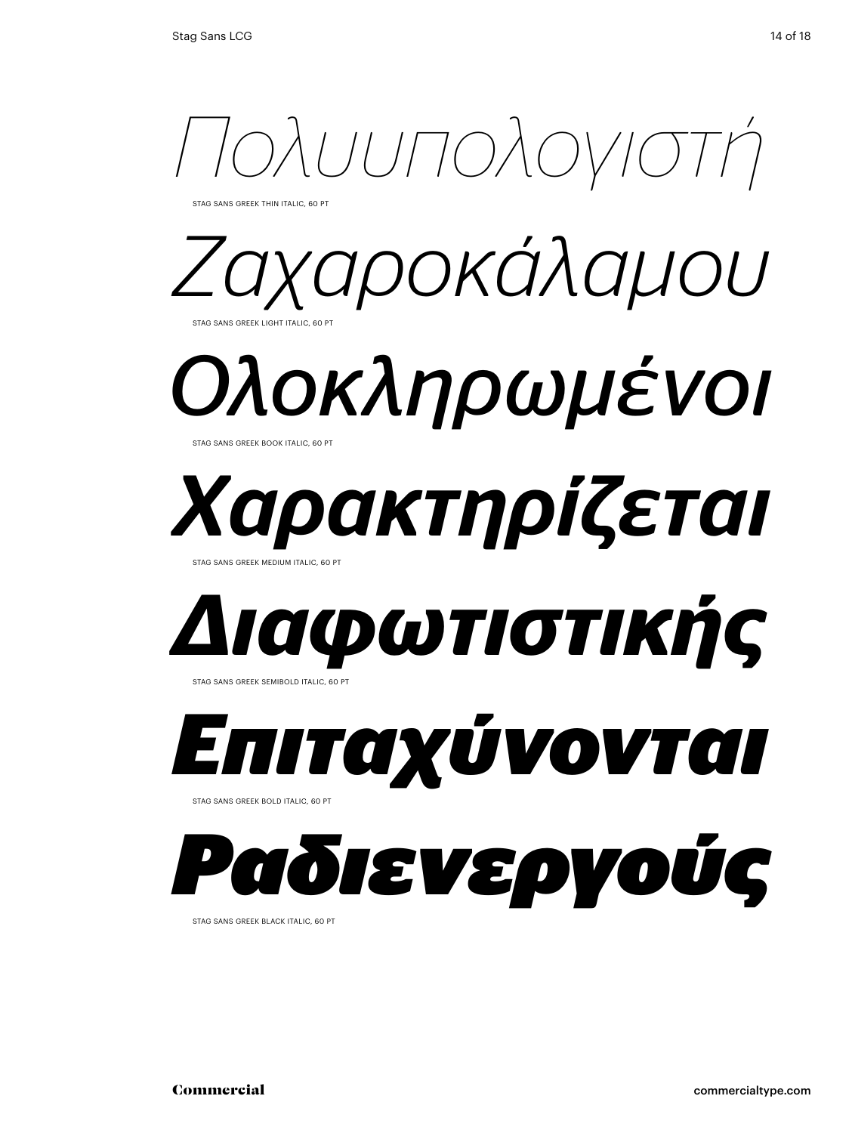

Stag Sans Greek thin italic, 60 Pt



*Ολοκληρωμένοι* Stag Sans Greek book italic, 60 Pt

# *Χαρακτηρίζεται*

Stag Sans Greek medium italic, 60 Pt



*Επιταχύνονται*  STAG SANS GREEK BOLD ITALIC, 60 PT

# *Ραδιενεργούς*

Stag Sans Greek black italic, 60 Pt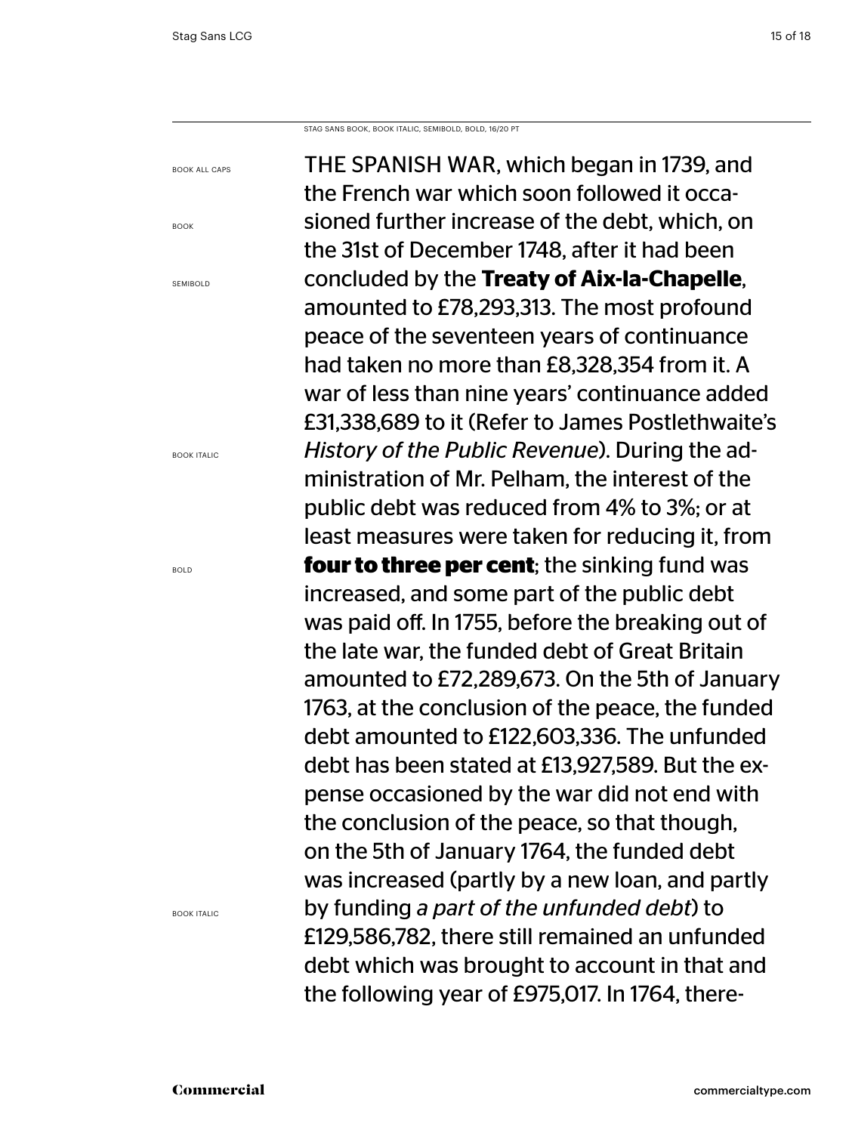Stag sans book, book ITALIC, semibold, bold, 16/20 PT

book all caps

book

**SEMIBOLD** 

book Italic

THE SPANISH WAR, which began in 1739, and the French war which soon followed it occasioned further increase of the debt, which, on the 31st of December 1748, after it had been concluded by the **Treaty of Aix-la-Chapelle**, amounted to £78,293,313. The most profound peace of the seventeen years of continuance had taken no more than £8,328,354 from it. A war of less than nine years' continuance added £31,338,689 to it (Refer to James Postlethwaite's *History of the Public Revenue*). During the administration of Mr. Pelham, the interest of the public debt was reduced from 4% to 3%; or at least measures were taken for reducing it, from **four to three per cent**; the sinking fund was increased, and some part of the public debt was paid off. In 1755, before the breaking out of the late war, the funded debt of Great Britain amounted to £72,289,673. On the 5th of January 1763, at the conclusion of the peace, the funded debt amounted to £122,603,336. The unfunded debt has been stated at £13,927,589. But the expense occasioned by the war did not end with the conclusion of the peace, so that though, on the 5th of January 1764, the funded debt was increased (partly by a new loan, and partly by funding *a part of the unfunded debt*) to £129,586,782, there still remained an unfunded debt which was brought to account in that and the following year of £975,017. In 1764, there-

bold

book Italic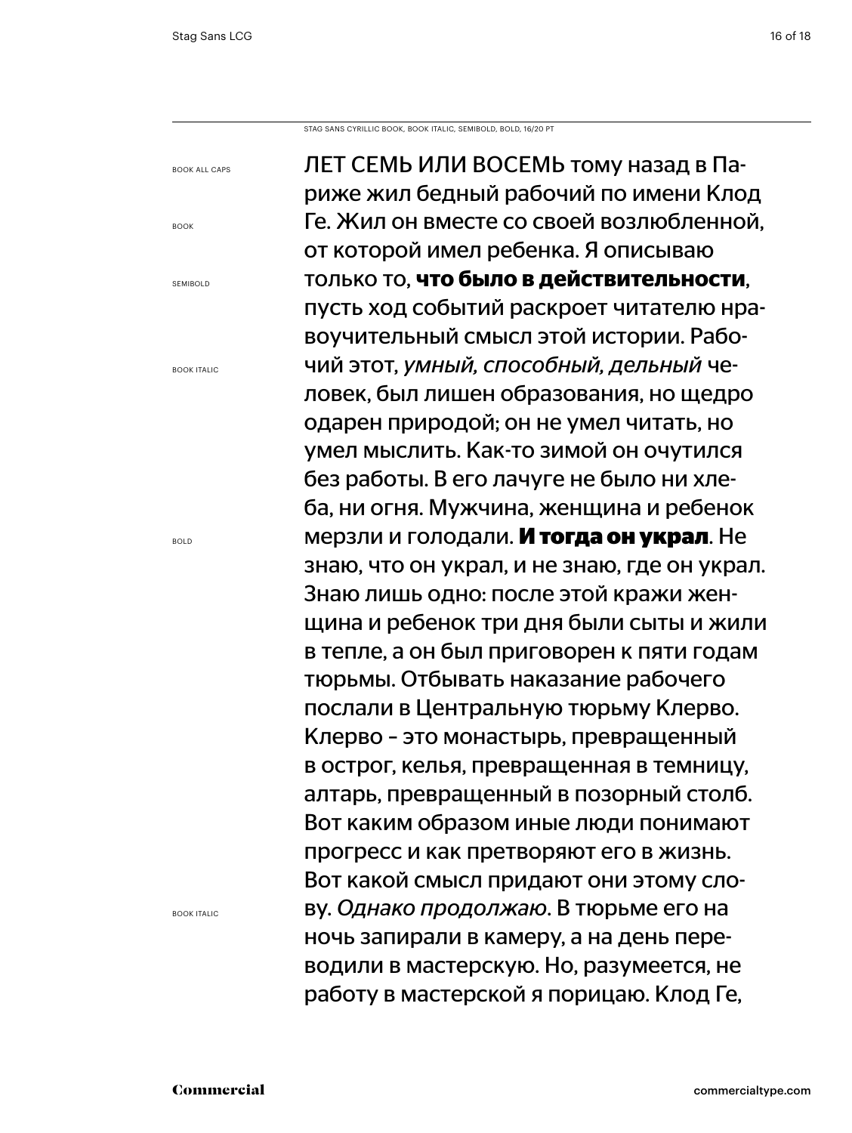book all caps

book

semibold

book Italic

bold

Stag sans cyrillic book, book ITALIC, semibold, bold, 16/20 PT

book Italic

Лет семь или восемь тому назад в Париже жил бедный рабочий по имени Клод Ге. Жил он вместе со своей возлюбленной, от которой имел ребенка. Я описываю только то, **что было в действительности**, пусть ход событий раскроет читателю нравоучительный смысл этой истории. Рабочий этот, *умный, способный, дельный* человек, был лишен образования, но щедро одарен природой; он не умел читать, но умел мыслить. Как-то зимой он очутился без работы. В его лачуге не было ни хлеба, ни огня. Мужчина, женщина и ребенок мерзли и голодали. **И тогда он украл**. Не знаю, что он украл, и не знаю, где он украл. Знаю лишь одно: после этой кражи женщина и ребенок три дня были сыты и жили в тепле, а он был приговорен к пяти годам тюрьмы. Отбывать наказание рабочего послали в Центральную тюрьму Клерво. Клерво – это монастырь, превращенный в острог, келья, превращенная в темницу, алтарь, превращенный в позорный столб. Вот каким образом иные люди понимают прогресс и как претворяют его в жизнь. Вот какой смысл придают они этому слову. *Однако продолжаю*. В тюрьме его на ночь запирали в камеру, а на день переводили в мастерскую. Но, разумеется, не работу в мастерской я порицаю. Клод Ге,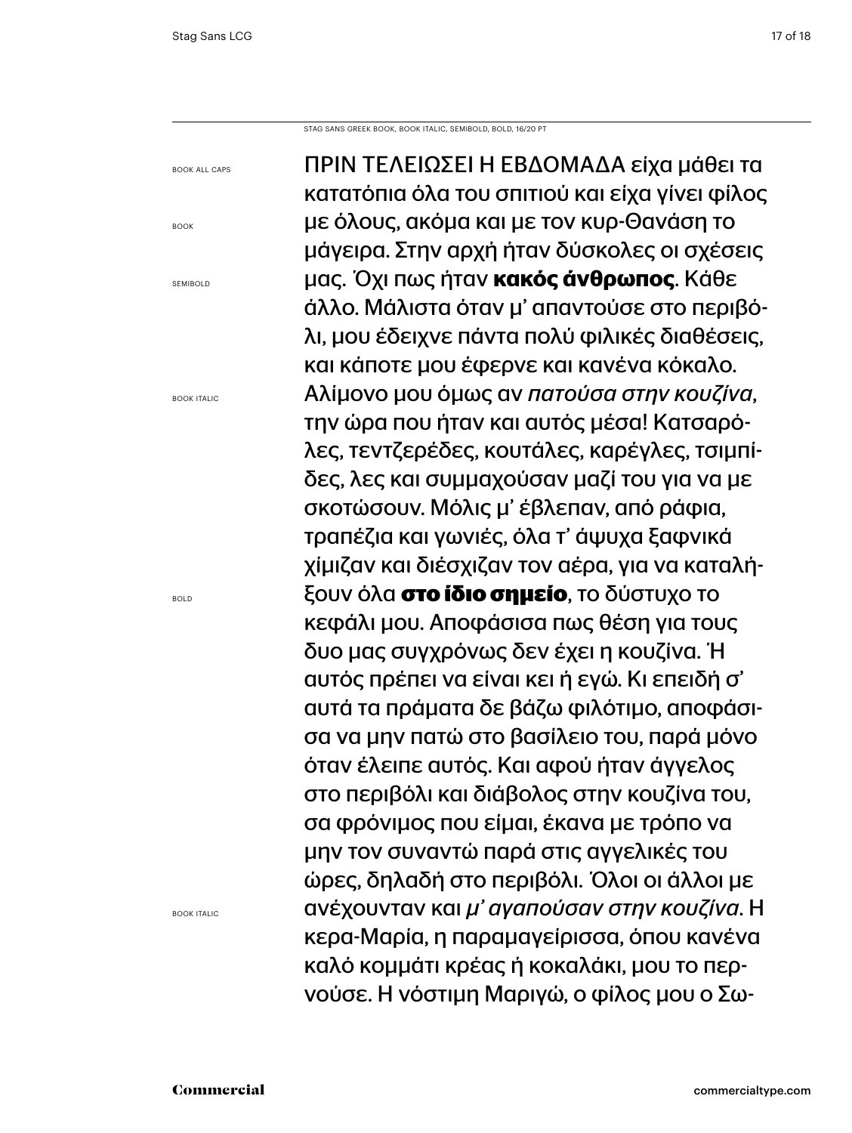Stag sans greek book, book ITALIC, semibold, bold, 16/20 PT

book all caps

book

**SEMIBOLD** 

book Italic

ΠΡΙΝ ΤΕΛΕΙΩΣΕΙ Η ΕΒΔΟΜΑΔΑ είχα μάθει τα κατατόπια όλα του σπιτιού και είχα γίνει φίλος με όλους, ακόμα και με τον κυρ-Θανάση το μάγειρα. Στην αρχή ήταν δύσκολες οι σχέσεις μας. Όχι πως ήταν **κακός άνθρωπος**. Κάθε άλλο. Μάλιστα όταν μ' απαντούσε στο περιβόλι, μου έδειχνε πάντα πολύ φιλικές διαθέσεις, και κάποτε μου έφερνε και κανένα κόκαλο. Αλίμονο μου όμως αν *πατούσα στην κουζίνα*, την ώρα που ήταν και αυτός μέσα! Κατσαρόλες, τεντζερέδες, κουτάλες, καρέγλες, τσιμπίδες, λες και συμμαχούσαν μαζί του για να με σκοτώσουν. Μόλις μ' έβλεπαν, από ράφια, τραπέζια και γωνιές, όλα τ' άψυχα ξαφνικά χίμιζαν και διέσχιζαν τον αέρα, για να καταλήξουν όλα **στο ίδιο σημείο**, το δύστυχο το κεφάλι μου. Αποφάσισα πως θέση για τους δυο μας συγχρόνως δεν έχει η κουζίνα. Ή αυτός πρέπει να είναι κει ή εγώ. Κι επειδή σ' αυτά τα πράματα δε βάζω φιλότιμο, αποφάσισα να μην πατώ στο βασίλειο του, παρά μόνο όταν έλειπε αυτός. Και αφού ήταν άγγελος στο περιβόλι και διάβολος στην κουζίνα του, σα φρόνιμος που είμαι, έκανα με τρόπο να μην τον συναντώ παρά στις αγγελικές του ώρες, δηλαδή στο περιβόλι. Όλοι οι άλλοι με ανέχουνταν και *μ' αγαπούσαν στην κουζίνα*. Η κερα-Μαρία, η παραμαγείρισσα, όπου κανένα καλό κομμάτι κρέας ή κοκαλάκι, μου το περνούσε. Η νόστιμη Μαριγώ, ο φίλος μου ο Σω-

bold

book Italic